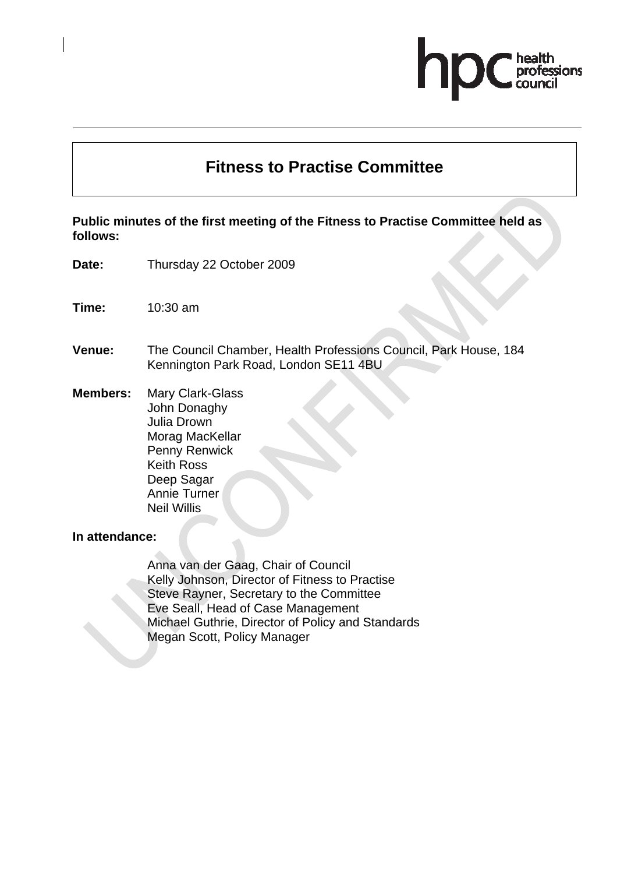# professions

# **Fitness to Practise Committee**

**Public minutes of the first meeting of the Fitness to Practise Committee held as follows:** 

- **Date:** Thursday 22 October 2009
- **Time:** 10:30 am
- **Venue:** The Council Chamber, Health Professions Council, Park House, 184 Kennington Park Road, London SE11 4BU
- **Members:** Mary Clark-Glass John Donaghy Julia Drown Morag MacKellar Penny Renwick Keith Ross Deep Sagar Annie Turner Neil Willis

#### **In attendance:**

Anna van der Gaag, Chair of Council Kelly Johnson, Director of Fitness to Practise Steve Rayner, Secretary to the Committee Eve Seall, Head of Case Management Michael Guthrie, Director of Policy and Standards Megan Scott, Policy Manager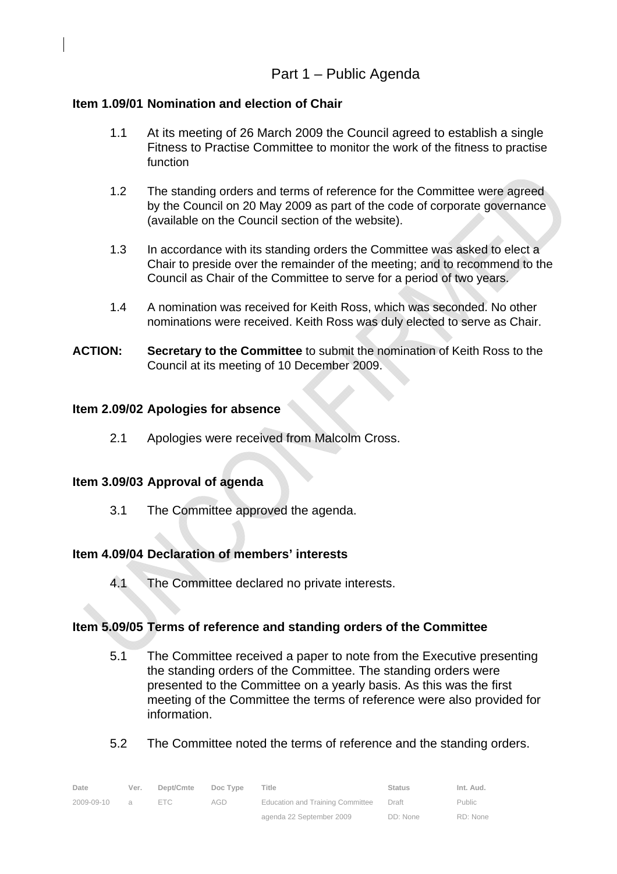# **Item 1.09/01 Nomination and election of Chair**

- 1.1 At its meeting of 26 March 2009 the Council agreed to establish a single Fitness to Practise Committee to monitor the work of the fitness to practise function
- 1.2 The standing orders and terms of reference for the Committee were agreed by the Council on 20 May 2009 as part of the code of corporate governance (available on the Council section of the website).
- 1.3 In accordance with its standing orders the Committee was asked to elect a Chair to preside over the remainder of the meeting; and to recommend to the Council as Chair of the Committee to serve for a period of two years.
- 1.4 A nomination was received for Keith Ross, which was seconded. No other nominations were received. Keith Ross was duly elected to serve as Chair.
- **ACTION: Secretary to the Committee** to submit the nomination of Keith Ross to the Council at its meeting of 10 December 2009.

# **Item 2.09/02 Apologies for absence**

2.1 Apologies were received from Malcolm Cross.

# **Item 3.09/03 Approval of agenda**

3.1 The Committee approved the agenda.

# **Item 4.09/04 Declaration of members' interests**

4.1 The Committee declared no private interests.

# **Item 5.09/05 Terms of reference and standing orders of the Committee**

- 5.1 The Committee received a paper to note from the Executive presenting the standing orders of the Committee. The standing orders were presented to the Committee on a yearly basis. As this was the first meeting of the Committee the terms of reference were also provided for information.
- 5.2 The Committee noted the terms of reference and the standing orders.

| Date       | Ver.           | Dept/Cmte  | Doc Type | Title                                  | <b>Status</b> | Int. Aud.     |
|------------|----------------|------------|----------|----------------------------------------|---------------|---------------|
| 2009-09-10 | $\overline{a}$ | $=$ $\Box$ | AGD      | Education and Training Committee Draft |               | <b>Public</b> |
|            |                |            |          | agenda 22 September 2009               | DD: None      | RD: None      |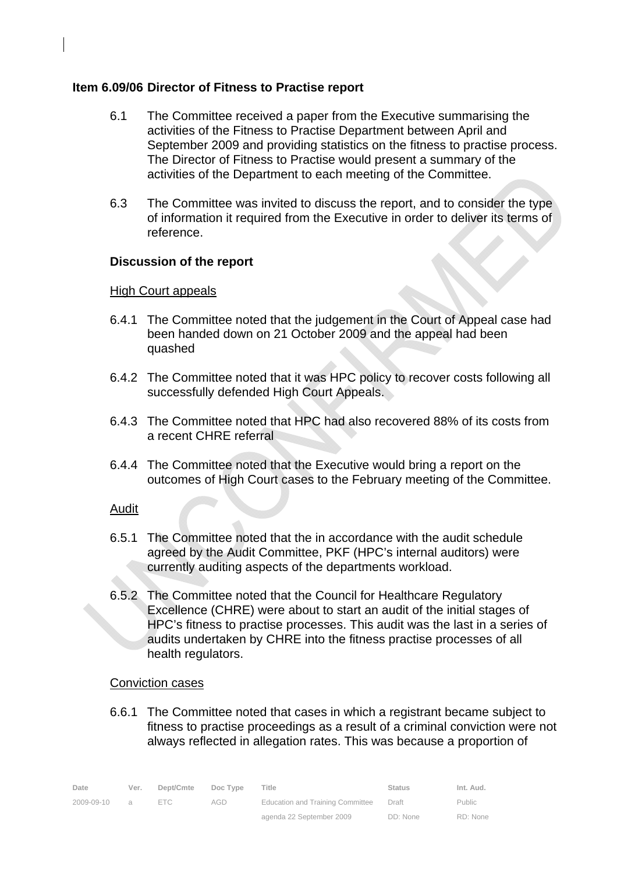# **Item 6.09/06 Director of Fitness to Practise report**

- 6.1 The Committee received a paper from the Executive summarising the activities of the Fitness to Practise Department between April and September 2009 and providing statistics on the fitness to practise process. The Director of Fitness to Practise would present a summary of the activities of the Department to each meeting of the Committee.
- 6.3 The Committee was invited to discuss the report, and to consider the type of information it required from the Executive in order to deliver its terms of reference.

# **Discussion of the report**

# High Court appeals

- 6.4.1 The Committee noted that the judgement in the Court of Appeal case had been handed down on 21 October 2009 and the appeal had been quashed
- 6.4.2 The Committee noted that it was HPC policy to recover costs following all successfully defended High Court Appeals.
- 6.4.3 The Committee noted that HPC had also recovered 88% of its costs from a recent CHRE referral
- 6.4.4 The Committee noted that the Executive would bring a report on the outcomes of High Court cases to the February meeting of the Committee.

# Audit

- 6.5.1 The Committee noted that the in accordance with the audit schedule agreed by the Audit Committee, PKF (HPC's internal auditors) were currently auditing aspects of the departments workload.
- 6.5.2 The Committee noted that the Council for Healthcare Regulatory Excellence (CHRE) were about to start an audit of the initial stages of HPC's fitness to practise processes. This audit was the last in a series of audits undertaken by CHRE into the fitness practise processes of all health regulators.

# Conviction cases

6.6.1 The Committee noted that cases in which a registrant became subject to fitness to practise proceedings as a result of a criminal conviction were not always reflected in allegation rates. This was because a proportion of

| Date       | Ver.           | Dept/Cmte  | Doc Type | Title                            | Status   | Int. Aud.     |
|------------|----------------|------------|----------|----------------------------------|----------|---------------|
| 2009-09-10 | $\overline{a}$ | $=$ $\Box$ | AGD      | Education and Training Committee | Draft    | <b>Public</b> |
|            |                |            |          | agenda 22 September 2009         | DD: None | RD: None      |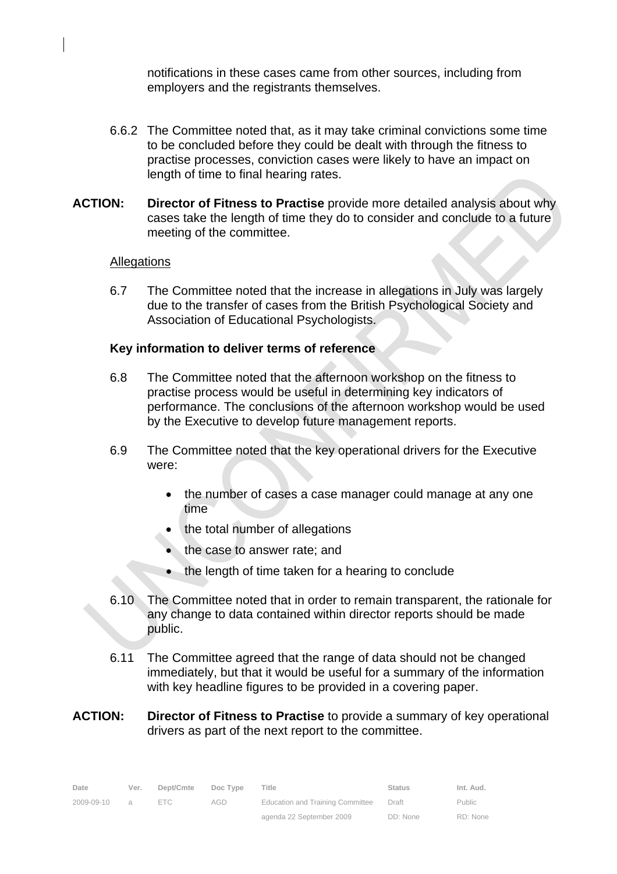notifications in these cases came from other sources, including from employers and the registrants themselves.

- 6.6.2 The Committee noted that, as it may take criminal convictions some time to be concluded before they could be dealt with through the fitness to practise processes, conviction cases were likely to have an impact on length of time to final hearing rates.
- **ACTION: Director of Fitness to Practise** provide more detailed analysis about why cases take the length of time they do to consider and conclude to a future meeting of the committee.

#### **Allegations**

6.7 The Committee noted that the increase in allegations in July was largely due to the transfer of cases from the British Psychological Society and Association of Educational Psychologists.

#### **Key information to deliver terms of reference**

- 6.8 The Committee noted that the afternoon workshop on the fitness to practise process would be useful in determining key indicators of performance. The conclusions of the afternoon workshop would be used by the Executive to develop future management reports.
- 6.9 The Committee noted that the key operational drivers for the Executive were:
	- the number of cases a case manager could manage at any one time
	- the total number of allegations
	- the case to answer rate; and
	- the length of time taken for a hearing to conclude
- 6.10 The Committee noted that in order to remain transparent, the rationale for any change to data contained within director reports should be made public.
- 6.11 The Committee agreed that the range of data should not be changed immediately, but that it would be useful for a summary of the information with key headline figures to be provided in a covering paper.

#### **ACTION: Director of Fitness to Practise** to provide a summary of key operational drivers as part of the next report to the committee.

| Date       | Ver.     | Dept/Cmte | Doc Type | Title                                   | <b>Status</b> | Int. Aud.     |
|------------|----------|-----------|----------|-----------------------------------------|---------------|---------------|
| 2009-09-10 | $\Omega$ | FTC.      | AGD.     | <b>Education and Training Committee</b> | Draft         | <b>Public</b> |
|            |          |           |          | agenda 22 September 2009                | DD: None      | RD: None      |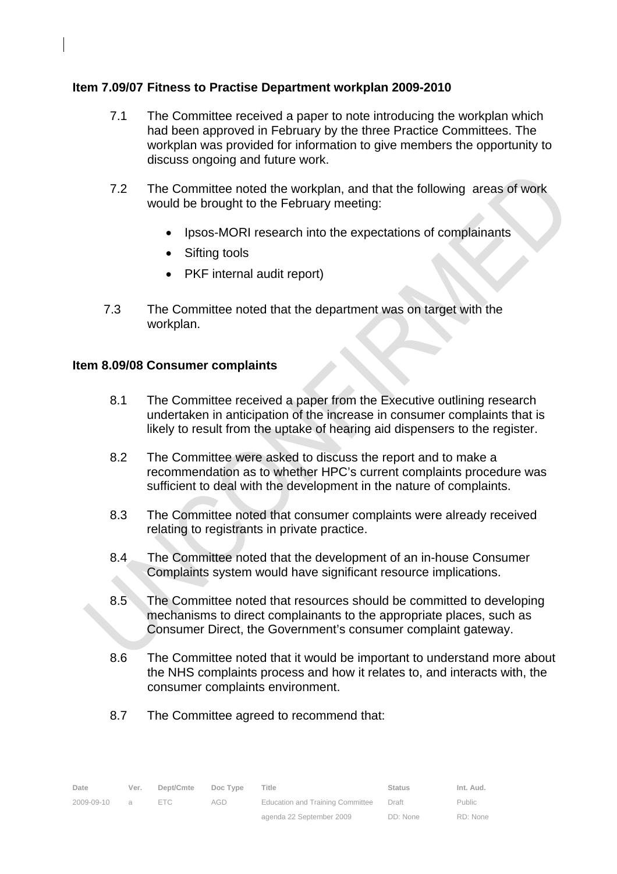# **Item 7.09/07 Fitness to Practise Department workplan 2009-2010**

- 7.1 The Committee received a paper to note introducing the workplan which had been approved in February by the three Practice Committees. The workplan was provided for information to give members the opportunity to discuss ongoing and future work.
- 7.2 The Committee noted the workplan, and that the following areas of work would be brought to the February meeting:
	- Ipsos-MORI research into the expectations of complainants
	- Sifting tools
	- PKF internal audit report)
- 7.3 The Committee noted that the department was on target with the workplan.

#### **Item 8.09/08 Consumer complaints**

- 8.1 The Committee received a paper from the Executive outlining research undertaken in anticipation of the increase in consumer complaints that is likely to result from the uptake of hearing aid dispensers to the register.
- 8.2 The Committee were asked to discuss the report and to make a recommendation as to whether HPC's current complaints procedure was sufficient to deal with the development in the nature of complaints.
- 8.3 The Committee noted that consumer complaints were already received relating to registrants in private practice.
- 8.4 The Committee noted that the development of an in-house Consumer Complaints system would have significant resource implications.
- 8.5 The Committee noted that resources should be committed to developing mechanisms to direct complainants to the appropriate places, such as Consumer Direct, the Government's consumer complaint gateway.
- 8.6 The Committee noted that it would be important to understand more about the NHS complaints process and how it relates to, and interacts with, the consumer complaints environment.
- 8.7 The Committee agreed to recommend that: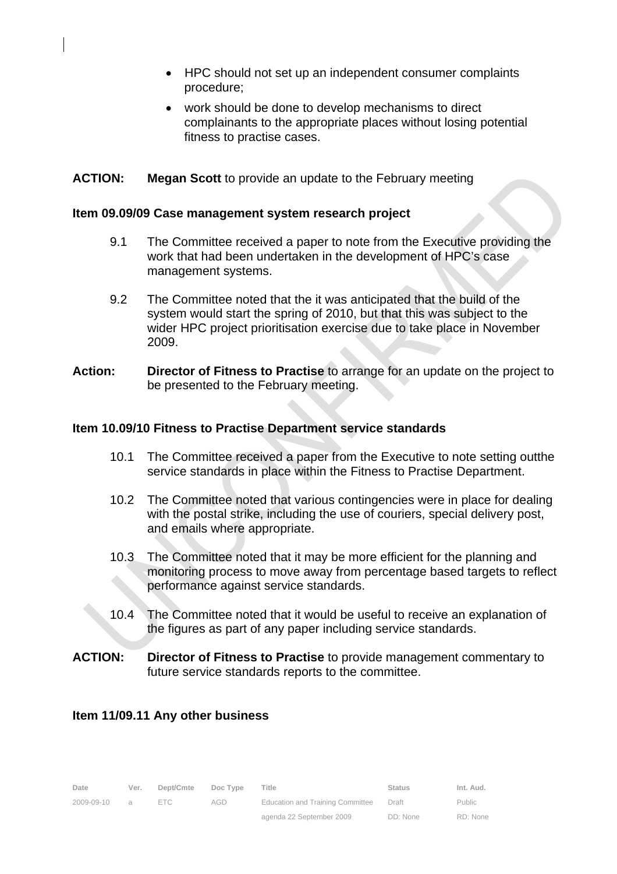- HPC should not set up an independent consumer complaints procedure;
- work should be done to develop mechanisms to direct complainants to the appropriate places without losing potential fitness to practise cases.

# **ACTION: Megan Scott** to provide an update to the February meeting

#### **Item 09.09/09 Case management system research project**

- 9.1 The Committee received a paper to note from the Executive providing the work that had been undertaken in the development of HPC's case management systems.
- 9.2 The Committee noted that the it was anticipated that the build of the system would start the spring of 2010, but that this was subject to the wider HPC project prioritisation exercise due to take place in November 2009.
- **Action: Director of Fitness to Practise** to arrange for an update on the project to be presented to the February meeting.

#### **Item 10.09/10 Fitness to Practise Department service standards**

- 10.1 The Committee received a paper from the Executive to note setting outthe service standards in place within the Fitness to Practise Department.
- 10.2 The Committee noted that various contingencies were in place for dealing with the postal strike, including the use of couriers, special delivery post, and emails where appropriate.
- 10.3 The Committee noted that it may be more efficient for the planning and monitoring process to move away from percentage based targets to reflect performance against service standards.
- 10.4 The Committee noted that it would be useful to receive an explanation of the figures as part of any paper including service standards.
- **ACTION: Director of Fitness to Practise** to provide management commentary to future service standards reports to the committee.

#### **Item 11/09.11 Any other business**